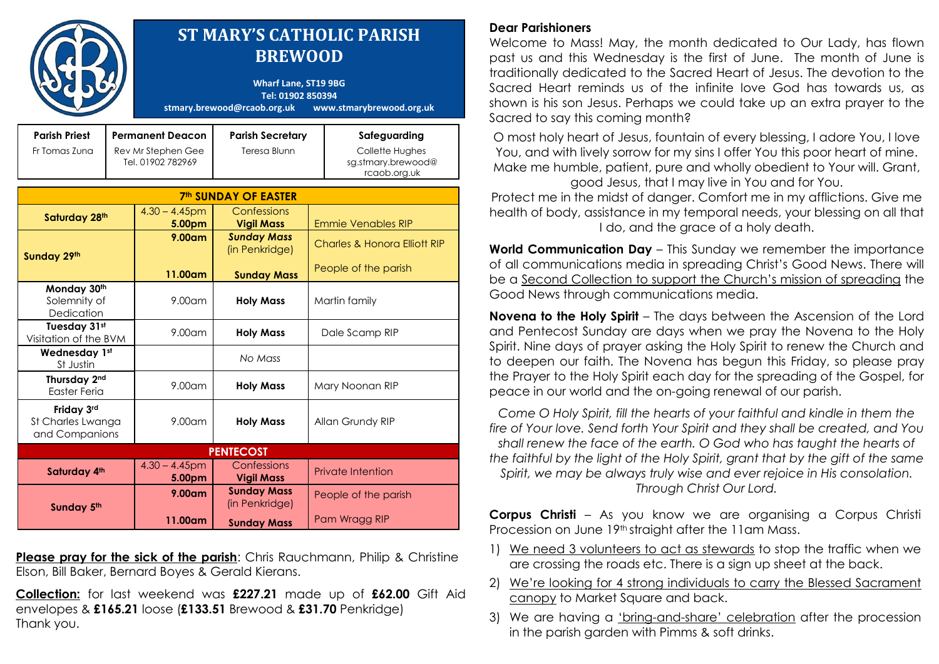|                                                   |  | <b>ST MARY'S CATHOLIC PARISH</b><br><b>BREWOOD</b><br><b>Wharf Lane, ST19 9BG</b><br>Tel: 01902 850394<br>stmary.brewood@rcaob.org.uk<br>www.stmarybrewood.org.uk |                                        |                                                                 |                                                                       |
|---------------------------------------------------|--|-------------------------------------------------------------------------------------------------------------------------------------------------------------------|----------------------------------------|-----------------------------------------------------------------|-----------------------------------------------------------------------|
| <b>Parish Priest</b><br>Fr Tomas Zuna             |  | <b>Permanent Deacon</b><br><b>Parish Secretary</b><br><b>Teresa Blunn</b><br>Rev Mr Stephen Gee<br>Tel. 01902 782969                                              |                                        |                                                                 | Safeguarding<br>Collette Hughes<br>sg.stmary.brewood@<br>rcaob.org.uk |
| <b>7th SUNDAY OF EASTER</b>                       |  |                                                                                                                                                                   |                                        |                                                                 |                                                                       |
| Saturday 28th                                     |  | $4.30 - 4.45$ pm<br>5.00pm                                                                                                                                        | Confessions<br><b>Vigil Mass</b>       | <b>Emmie Venables RIP</b>                                       |                                                                       |
| Sunday 29th                                       |  | $9.00$ am                                                                                                                                                         | <b>Sunday Mass</b><br>(in Penkridge)   | <b>Charles &amp; Honora Elliott RIP</b><br>People of the parish |                                                                       |
| Monday 30th<br>Solemnity of<br>Dedication         |  | 11.00am<br>$9.00$ am                                                                                                                                              | <b>Sunday Mass</b><br><b>Holy Mass</b> | Martin family                                                   |                                                                       |
| Tuesday 31st<br>Visitation of the BVM             |  | $9.00$ am                                                                                                                                                         | <b>Holy Mass</b>                       | Dale Scamp RIP                                                  |                                                                       |
| Wednesday 1st<br>St Justin                        |  |                                                                                                                                                                   | No Mass                                |                                                                 |                                                                       |
| Thursday 2nd<br><b>Easter Feria</b>               |  | 9.00am                                                                                                                                                            | <b>Holy Mass</b>                       | Mary Noonan RIP                                                 |                                                                       |
| Friday 3rd<br>St Charles Lwanga<br>and Companions |  | $9.00$ am                                                                                                                                                         | <b>Holy Mass</b>                       | Allan Grundy RIP                                                |                                                                       |
| <b>PENTECOST</b>                                  |  |                                                                                                                                                                   |                                        |                                                                 |                                                                       |
| Saturday 4th                                      |  | $4.30 - 4.45$ pm<br>5.00pm                                                                                                                                        | Confessions<br><b>Vigil Mass</b>       | <b>Private Intention</b>                                        |                                                                       |
| Sunday 5th                                        |  | 9.00 <sub>cm</sub>                                                                                                                                                | <b>Sunday Mass</b><br>(in Penkridge)   | People of the parish                                            |                                                                       |
|                                                   |  | 11.00am                                                                                                                                                           | <b>Sunday Mass</b>                     |                                                                 | Pam Wragg RIP                                                         |

**Please pray for the sick of the parish:** Chris Rauchmann, Philip & Christine Elson, Bill Baker, Bernard Boyes & Gerald Kierans.

**Collection:** for last weekend was **£227.21** made up of **£62.00** Gift Aid envelopes & **£165.21** loose (**£133.51** Brewood & **£31.70** Penkridge) Thank you.

## **Dear Parishioners**

Welcome to Mass! May, the month dedicated to Our Lady, has flown past us and this Wednesday is the first of June. The month of June is traditionally dedicated to the Sacred Heart of Jesus. The devotion to the Sacred Heart reminds us of the infinite love God has towards us, as shown is his son Jesus. Perhaps we could take up an extra prayer to the Sacred to say this coming month?

O most holy heart of Jesus, fountain of every blessing, I adore You, I love You, and with lively sorrow for my sins I offer You this poor heart of mine. Make me humble, patient, pure and wholly obedient to Your will. Grant, good Jesus, that I may live in You and for You.

Protect me in the midst of danger. Comfort me in my afflictions. Give me health of body, assistance in my temporal needs, your blessing on all that I do, and the grace of a holy death.

**World Communication Day** – This Sunday we remember the importance of all communications media in spreading Christ"s Good News. There will be a Second Collection to support the Church"s mission of spreading the Good News through communications media.

**Novena to the Holy Spirit** – The days between the Ascension of the Lord and Pentecost Sunday are days when we pray the Novena to the Holy Spirit. Nine days of prayer asking the Holy Spirit to renew the Church and to deepen our faith. The Novena has begun this Friday, so please pray the Prayer to the Holy Spirit each day for the spreading of the Gospel, for peace in our world and the on-going renewal of our parish.

*Come O Holy Spirit, fill the hearts of your faithful and kindle in them the fire of Your love. Send forth Your Spirit and they shall be created, and You shall renew the face of the earth. O God who has taught the hearts of the faithful by the light of the Holy Spirit, grant that by the gift of the same Spirit, we may be always truly wise and ever rejoice in His consolation. Through Christ Our Lord.*

**Corpus Christi** – As you know we are organising a Corpus Christi Procession on June 19th straight after the 11am Mass.

- 1) We need 3 volunteers to act as stewards to stop the traffic when we are crossing the roads etc. There is a sign up sheet at the back.
- 2) We"re looking for 4 strong individuals to carry the Blessed Sacrament canopy to Market Square and back.
- 3) We are having a "bring-and-share" celebration after the procession in the parish garden with Pimms & soft drinks.